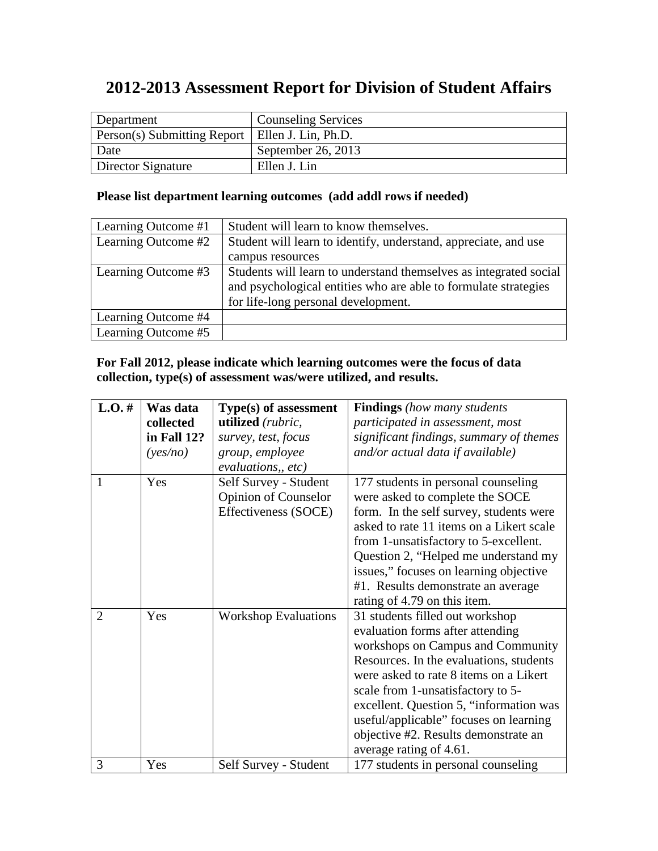# **2012-2013 Assessment Report for Division of Student Affairs**

| Department                                        | <b>Counseling Services</b> |
|---------------------------------------------------|----------------------------|
| Person(s) Submitting Report   Ellen J. Lin, Ph.D. |                            |
| Date                                              | September 26, 2013         |
| Director Signature                                | Ellen J. Lin               |

# **Please list department learning outcomes (add addl rows if needed)**

| Learning Outcome #1 | Student will learn to know themselves.                            |
|---------------------|-------------------------------------------------------------------|
| Learning Outcome #2 | Student will learn to identify, understand, appreciate, and use   |
|                     | campus resources                                                  |
| Learning Outcome #3 | Students will learn to understand themselves as integrated social |
|                     | and psychological entities who are able to formulate strategies   |
|                     | for life-long personal development.                               |
| Learning Outcome #4 |                                                                   |
| Learning Outcome #5 |                                                                   |

# **For Fall 2012, please indicate which learning outcomes were the focus of data collection, type(s) of assessment was/were utilized, and results.**

| $L.O.$ # | Was data    | Type(s) of assessment       | <b>Findings</b> (how many students       |
|----------|-------------|-----------------------------|------------------------------------------|
|          | collected   | utilized (rubric,           | participated in assessment, most         |
|          | in Fall 12? | survey, test, focus         | significant findings, summary of themes  |
|          | (yes/no)    | group, employee             | and/or actual data if available)         |
|          |             | evaluations, etc)           |                                          |
| 1        | Yes         | Self Survey - Student       | 177 students in personal counseling      |
|          |             | <b>Opinion of Counselor</b> | were asked to complete the SOCE          |
|          |             | Effectiveness (SOCE)        | form. In the self survey, students were  |
|          |             |                             | asked to rate 11 items on a Likert scale |
|          |             |                             | from 1-unsatisfactory to 5-excellent.    |
|          |             |                             | Question 2, "Helped me understand my     |
|          |             |                             | issues," focuses on learning objective   |
|          |             |                             | #1. Results demonstrate an average       |
|          |             |                             | rating of 4.79 on this item.             |
| 2        | Yes         | <b>Workshop Evaluations</b> | 31 students filled out workshop          |
|          |             |                             | evaluation forms after attending         |
|          |             |                             | workshops on Campus and Community        |
|          |             |                             | Resources. In the evaluations, students  |
|          |             |                             | were asked to rate 8 items on a Likert   |
|          |             |                             | scale from 1-unsatisfactory to 5-        |
|          |             |                             | excellent. Question 5, "information was  |
|          |             |                             | useful/applicable" focuses on learning   |
|          |             |                             | objective #2. Results demonstrate an     |
|          |             |                             | average rating of 4.61.                  |
| 3        | Yes         | Self Survey - Student       | 177 students in personal counseling      |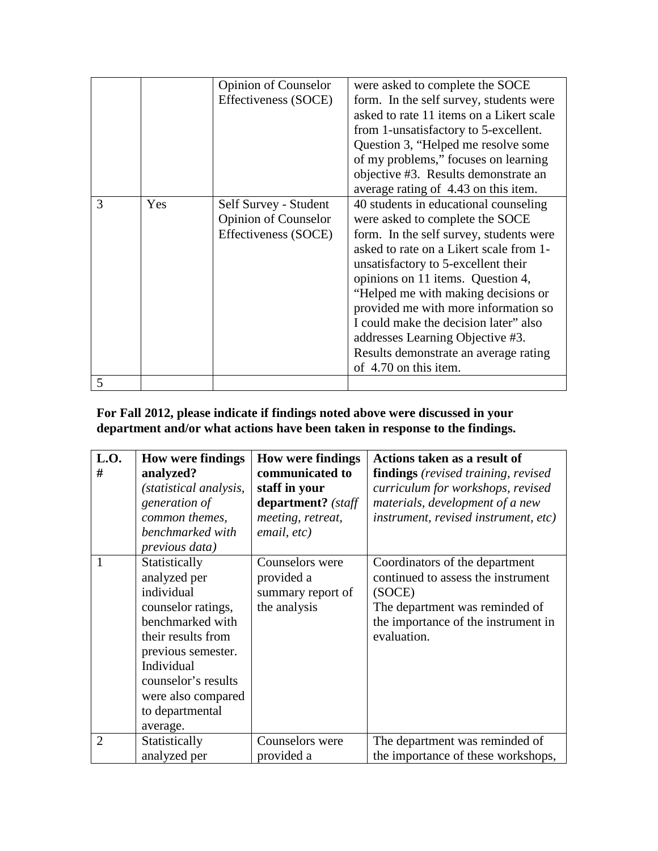|   |     | <b>Opinion of Counselor</b><br>Effectiveness (SOCE)                          | were asked to complete the SOCE<br>form. In the self survey, students were<br>asked to rate 11 items on a Likert scale<br>from 1-unsatisfactory to 5-excellent.<br>Question 3, "Helped me resolve some<br>of my problems," focuses on learning<br>objective #3. Results demonstrate an<br>average rating of 4.43 on this item.                                                                                                                                           |
|---|-----|------------------------------------------------------------------------------|--------------------------------------------------------------------------------------------------------------------------------------------------------------------------------------------------------------------------------------------------------------------------------------------------------------------------------------------------------------------------------------------------------------------------------------------------------------------------|
| 3 | Yes | Self Survey - Student<br><b>Opinion of Counselor</b><br>Effectiveness (SOCE) | 40 students in educational counseling<br>were asked to complete the SOCE<br>form. In the self survey, students were<br>asked to rate on a Likert scale from 1-<br>unsatisfactory to 5-excellent their<br>opinions on 11 items. Question 4,<br>"Helped me with making decisions or<br>provided me with more information so<br>I could make the decision later" also<br>addresses Learning Objective #3.<br>Results demonstrate an average rating<br>of 4.70 on this item. |
| 5 |     |                                                                              |                                                                                                                                                                                                                                                                                                                                                                                                                                                                          |

#### **For Fall 2012, please indicate if findings noted above were discussed in your department and/or what actions have been taken in response to the findings.**

| L.O.<br>#      | <b>How were findings</b><br>analyzed?<br>(statistical analysis,<br>generation of<br>common themes,<br>benchmarked with<br>previous data)                                                                                    | <b>How were findings</b><br>communicated to<br>staff in your<br>department? (staff<br>meeting, retreat,<br>email, etc) | Actions taken as a result of<br><b>findings</b> (revised training, revised)<br>curriculum for workshops, revised<br>materials, development of a new<br><i>instrument, revised instrument, etc)</i> |
|----------------|-----------------------------------------------------------------------------------------------------------------------------------------------------------------------------------------------------------------------------|------------------------------------------------------------------------------------------------------------------------|----------------------------------------------------------------------------------------------------------------------------------------------------------------------------------------------------|
|                | Statistically<br>analyzed per<br>individual<br>counselor ratings,<br>benchmarked with<br>their results from<br>previous semester.<br>Individual<br>counselor's results<br>were also compared<br>to departmental<br>average. | Counselors were<br>provided a<br>summary report of<br>the analysis                                                     | Coordinators of the department<br>continued to assess the instrument<br>(SOCE)<br>The department was reminded of<br>the importance of the instrument in<br>evaluation.                             |
| $\overline{2}$ | Statistically<br>analyzed per                                                                                                                                                                                               | Counselors were<br>provided a                                                                                          | The department was reminded of<br>the importance of these workshops,                                                                                                                               |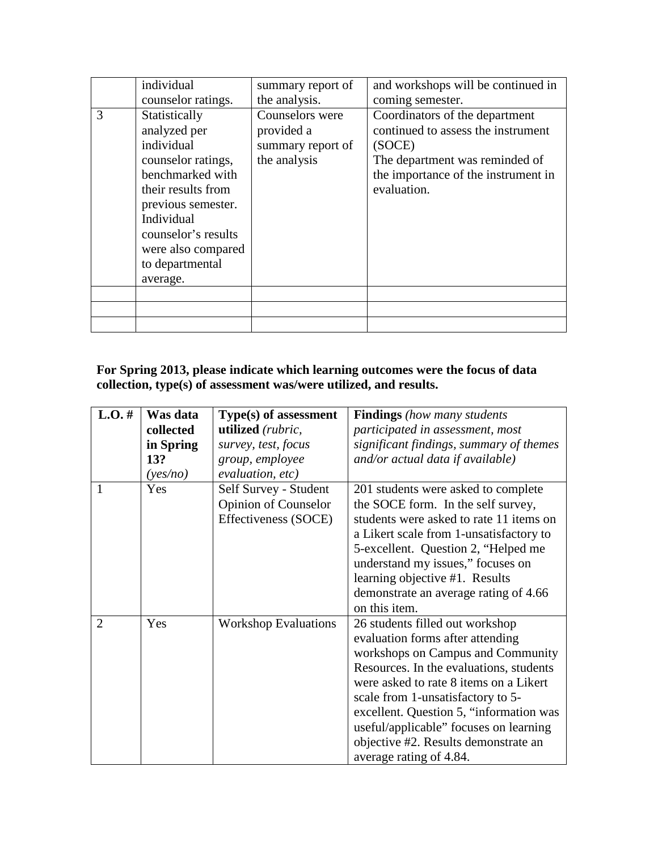|   | individual                                                                                                                                                                                                                  | summary report of                                                  | and workshops will be continued in                                                                                                                                     |
|---|-----------------------------------------------------------------------------------------------------------------------------------------------------------------------------------------------------------------------------|--------------------------------------------------------------------|------------------------------------------------------------------------------------------------------------------------------------------------------------------------|
|   | counselor ratings.                                                                                                                                                                                                          | the analysis.                                                      | coming semester.                                                                                                                                                       |
| 3 | Statistically<br>analyzed per<br>individual<br>counselor ratings,<br>benchmarked with<br>their results from<br>previous semester.<br>Individual<br>counselor's results<br>were also compared<br>to departmental<br>average. | Counselors were<br>provided a<br>summary report of<br>the analysis | Coordinators of the department<br>continued to assess the instrument<br>(SOCE)<br>The department was reminded of<br>the importance of the instrument in<br>evaluation. |
|   |                                                                                                                                                                                                                             |                                                                    |                                                                                                                                                                        |
|   |                                                                                                                                                                                                                             |                                                                    |                                                                                                                                                                        |
|   |                                                                                                                                                                                                                             |                                                                    |                                                                                                                                                                        |

# **For Spring 2013, please indicate which learning outcomes were the focus of data collection, type(s) of assessment was/were utilized, and results.**

| $L.O.$ # | Was data  | Type(s) of assessment       | <b>Findings</b> (how many students      |
|----------|-----------|-----------------------------|-----------------------------------------|
|          | collected | utilized (rubric,           | participated in assessment, most        |
|          | in Spring | survey, test, focus         | significant findings, summary of themes |
|          | 13?       | group, employee             | and/or actual data if available)        |
|          | (yes/no)  | evaluation, etc)            |                                         |
| 1        | Yes       | Self Survey - Student       | 201 students were asked to complete     |
|          |           | <b>Opinion of Counselor</b> | the SOCE form. In the self survey,      |
|          |           | Effectiveness (SOCE)        | students were asked to rate 11 items on |
|          |           |                             | a Likert scale from 1-unsatisfactory to |
|          |           |                             | 5-excellent. Question 2, "Helped me     |
|          |           |                             | understand my issues," focuses on       |
|          |           |                             | learning objective #1. Results          |
|          |           |                             | demonstrate an average rating of 4.66   |
|          |           |                             | on this item.                           |
| 2        | Yes       | <b>Workshop Evaluations</b> | 26 students filled out workshop         |
|          |           |                             | evaluation forms after attending        |
|          |           |                             | workshops on Campus and Community       |
|          |           |                             | Resources. In the evaluations, students |
|          |           |                             | were asked to rate 8 items on a Likert  |
|          |           |                             | scale from 1-unsatisfactory to 5-       |
|          |           |                             | excellent. Question 5, "information was |
|          |           |                             | useful/applicable" focuses on learning  |
|          |           |                             | objective #2. Results demonstrate an    |
|          |           |                             | average rating of 4.84.                 |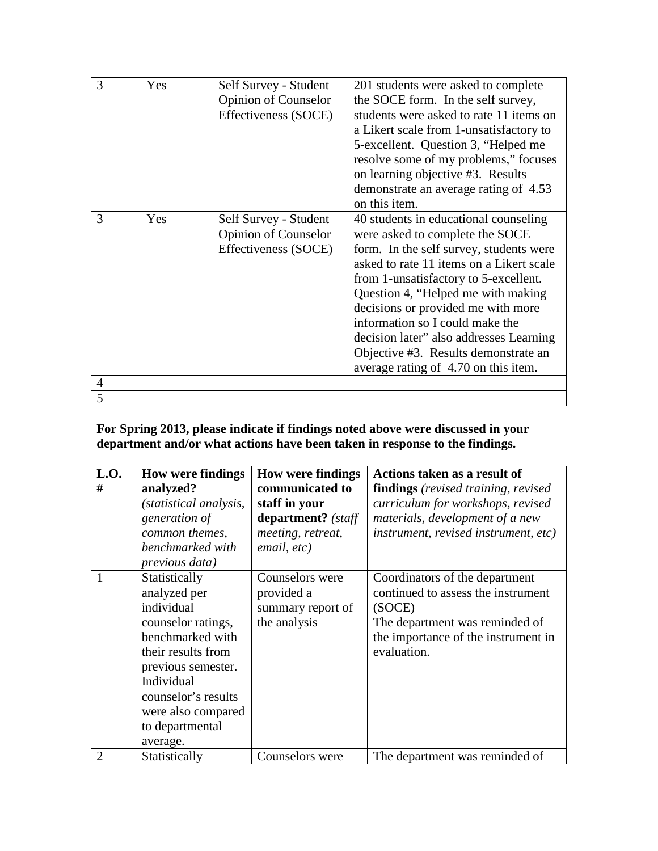| 3 | Yes | Self Survey - Student<br><b>Opinion of Counselor</b><br>Effectiveness (SOCE) | 201 students were asked to complete<br>the SOCE form. In the self survey,<br>students were asked to rate 11 items on<br>a Likert scale from 1-unsatisfactory to<br>5-excellent. Question 3, "Helped me<br>resolve some of my problems," focuses<br>on learning objective #3. Results<br>demonstrate an average rating of 4.53<br>on this item.                                                                                                     |
|---|-----|------------------------------------------------------------------------------|----------------------------------------------------------------------------------------------------------------------------------------------------------------------------------------------------------------------------------------------------------------------------------------------------------------------------------------------------------------------------------------------------------------------------------------------------|
| 3 | Yes | Self Survey - Student<br><b>Opinion of Counselor</b><br>Effectiveness (SOCE) | 40 students in educational counseling<br>were asked to complete the SOCE<br>form. In the self survey, students were<br>asked to rate 11 items on a Likert scale<br>from 1-unsatisfactory to 5-excellent.<br>Question 4, "Helped me with making<br>decisions or provided me with more<br>information so I could make the<br>decision later" also addresses Learning<br>Objective #3. Results demonstrate an<br>average rating of 4.70 on this item. |
| 4 |     |                                                                              |                                                                                                                                                                                                                                                                                                                                                                                                                                                    |
| 5 |     |                                                                              |                                                                                                                                                                                                                                                                                                                                                                                                                                                    |

# **For Spring 2013, please indicate if findings noted above were discussed in your department and/or what actions have been taken in response to the findings.**

| L.O.<br>#      | <b>How were findings</b><br>analyzed?<br>(statistical analysis,<br>generation of<br>common themes,<br>benchmarked with<br><i>previous data</i> )                                                                            | <b>How were findings</b><br>communicated to<br>staff in your<br>department? (staff<br>meeting, retreat,<br>email, etc) | Actions taken as a result of<br><b>findings</b> (revised training, revised)<br>curriculum for workshops, revised<br>materials, development of a new<br><i>instrument, revised instrument, etc)</i> |
|----------------|-----------------------------------------------------------------------------------------------------------------------------------------------------------------------------------------------------------------------------|------------------------------------------------------------------------------------------------------------------------|----------------------------------------------------------------------------------------------------------------------------------------------------------------------------------------------------|
| $\overline{1}$ | Statistically<br>analyzed per<br>individual<br>counselor ratings,<br>benchmarked with<br>their results from<br>previous semester.<br>Individual<br>counselor's results<br>were also compared<br>to departmental<br>average. | Counselors were<br>provided a<br>summary report of<br>the analysis                                                     | Coordinators of the department<br>continued to assess the instrument<br>(SOCE)<br>The department was reminded of<br>the importance of the instrument in<br>evaluation.                             |
| $\overline{2}$ | Statistically                                                                                                                                                                                                               | Counselors were                                                                                                        | The department was reminded of                                                                                                                                                                     |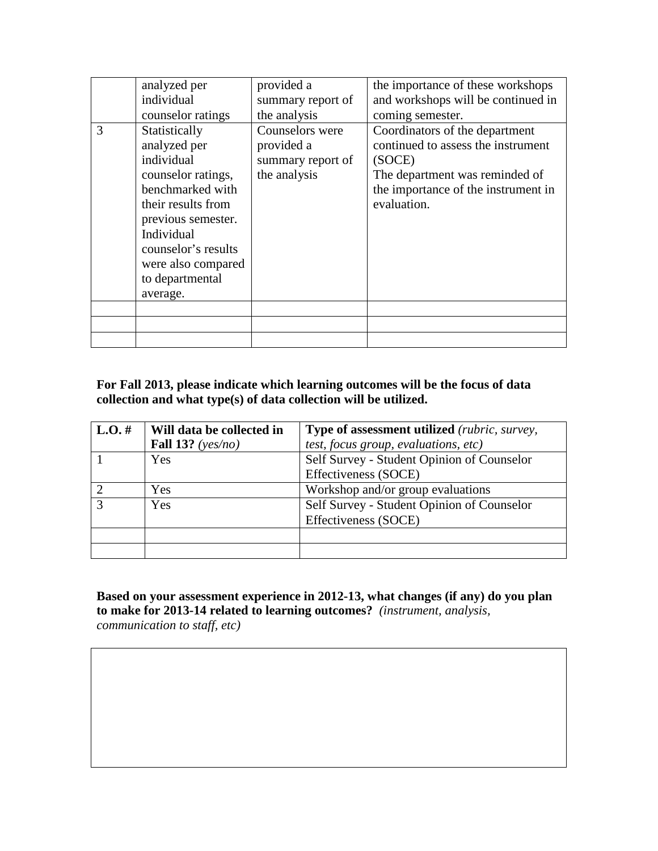|   | analyzed per<br>individual<br>counselor ratings                                                                                                                                                                             | provided a<br>summary report of<br>the analysis                    | the importance of these workshops<br>and workshops will be continued in<br>coming semester.                                                                            |
|---|-----------------------------------------------------------------------------------------------------------------------------------------------------------------------------------------------------------------------------|--------------------------------------------------------------------|------------------------------------------------------------------------------------------------------------------------------------------------------------------------|
| 3 | Statistically<br>analyzed per<br>individual<br>counselor ratings,<br>benchmarked with<br>their results from<br>previous semester.<br>Individual<br>counselor's results<br>were also compared<br>to departmental<br>average. | Counselors were<br>provided a<br>summary report of<br>the analysis | Coordinators of the department<br>continued to assess the instrument<br>(SOCE)<br>The department was reminded of<br>the importance of the instrument in<br>evaluation. |
|   |                                                                                                                                                                                                                             |                                                                    |                                                                                                                                                                        |

#### **For Fall 2013, please indicate which learning outcomes will be the focus of data collection and what type(s) of data collection will be utilized.**

| $L.O.$ # | Will data be collected in | <b>Type of assessment utilized</b> ( <i>rubric, survey,</i> |
|----------|---------------------------|-------------------------------------------------------------|
|          | Fall 13? ( $yes/no)$      | test, focus group, evaluations, etc)                        |
|          | <b>Yes</b>                | Self Survey - Student Opinion of Counselor                  |
|          |                           | Effectiveness (SOCE)                                        |
|          | Yes                       | Workshop and/or group evaluations                           |
|          | Yes                       | Self Survey - Student Opinion of Counselor                  |
|          |                           | Effectiveness (SOCE)                                        |
|          |                           |                                                             |
|          |                           |                                                             |

**Based on your assessment experience in 2012-13, what changes (if any) do you plan to make for 2013-14 related to learning outcomes?** *(instrument, analysis,* 

*communication to staff, etc)*